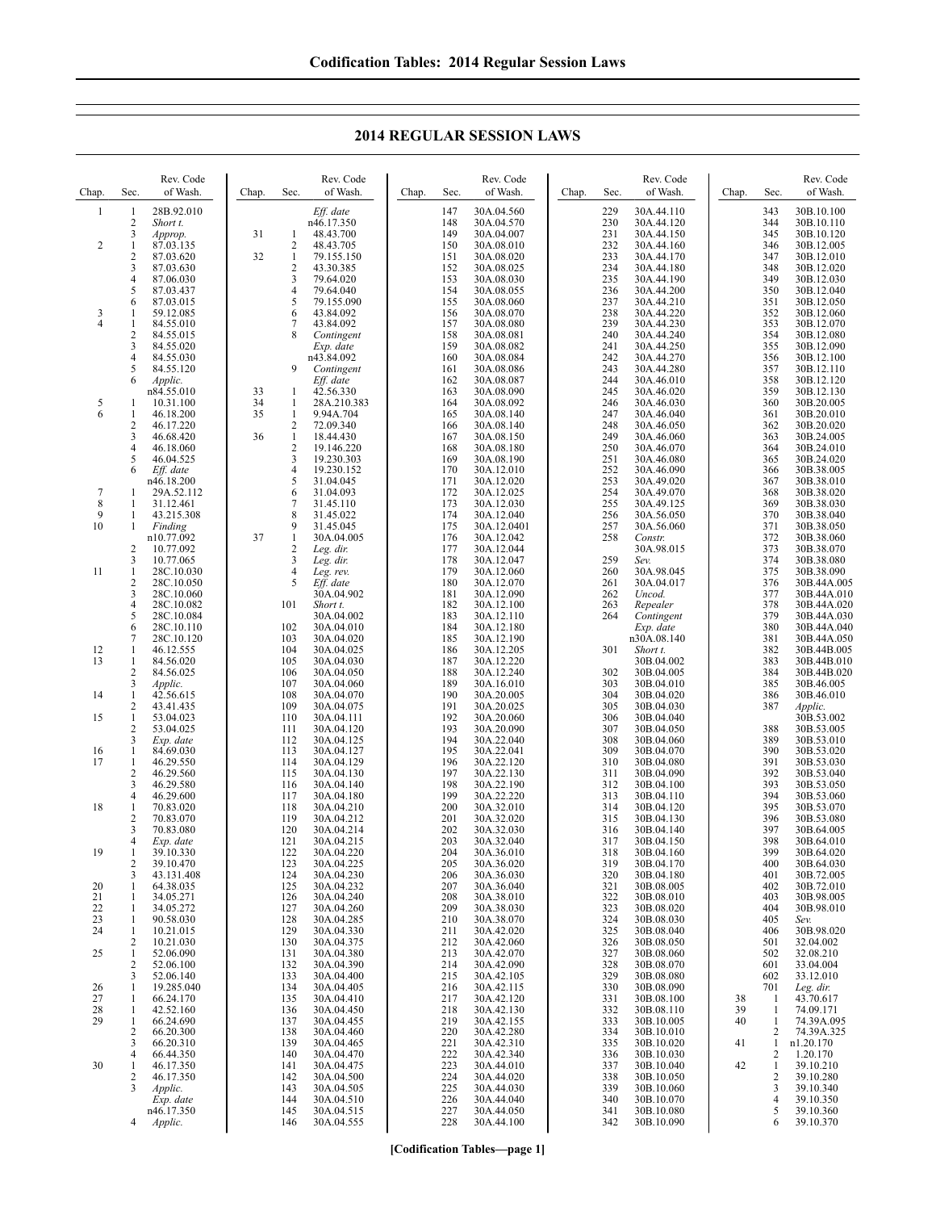| Chap.          | Sec.              | Rev. Code<br>of Wash.  | Chap. | Sec.                    | Rev. Code<br>of Wash.    | Chap. | Sec.       | Rev. Code<br>of Wash.    | Chap. | Sec.       | Rev. Code<br>of Wash.    | Chap. | Sec.       | Rev. Code<br>of Wash.     |
|----------------|-------------------|------------------------|-------|-------------------------|--------------------------|-------|------------|--------------------------|-------|------------|--------------------------|-------|------------|---------------------------|
|                |                   |                        |       |                         |                          |       |            |                          |       |            |                          |       |            |                           |
| $\mathbf{1}$   | $\mathbf{1}$      | 28B.92.010             |       |                         | Eff. date                |       | 147        | 30A.04.560               |       | 229        | 30A.44.110               |       | 343        | 30B.10.100                |
|                | 2                 | Short t.               |       |                         | n46.17.350               |       | 148<br>149 | 30A.04.570               |       | 230        | 30A.44.120               |       | 344<br>345 | 30B.10.110                |
| 2              | 3<br>1            | Approp.<br>87.03.135   | 31    | -1<br>$\overline{2}$    | 48.43.700<br>48.43.705   |       | 150        | 30A.04.007<br>30A.08.010 |       | 231<br>232 | 30A.44.150<br>30A.44.160 |       | 346        | 30B.10.120<br>30B.12.005  |
|                | 2                 | 87.03.620              | 32    | $\mathbf{1}$            | 79.155.150               |       | 151        | 30A.08.020               |       | 233        | 30A.44.170               |       | 347        | 30B.12.010                |
|                | 3                 | 87.03.630              |       | $\overline{\mathbf{c}}$ | 43.30.385                |       | 152        | 30A.08.025               |       | 234        | 30A.44.180               |       | 348        | 30B.12.020                |
|                | 4                 | 87.06.030              |       | 3                       | 79.64.020                |       | 153        | 30A.08.030               |       | 235        | 30A.44.190               |       | 349        | 30B.12.030                |
|                | 5                 | 87.03.437              |       | 4                       | 79.64.040                |       | 154        | 30A.08.055               |       | 236        | 30A.44.200               |       | 350        | 30B.12.040                |
|                | 6                 | 87.03.015              |       | 5                       | 79.155.090               |       | 155        | 30A.08.060               |       | 237        | 30A.44.210               |       | 351        | 30B.12.050                |
| 3              | 1                 | 59.12.085              |       | 6                       | 43.84.092                |       | 156        | 30A.08.070               |       | 238        | 30A.44.220               |       | 352        | 30B.12.060                |
| $\overline{4}$ | $\mathbf{1}$      | 84.55.010              |       | 7                       | 43.84.092                |       | 157        | 30A.08.080               |       | 239        | 30A.44.230               |       | 353        | 30B.12.070                |
|                | 2                 | 84.55.015              |       | 8                       | Contingent               |       | 158        | 30A.08.081               |       | 240        | 30A.44.240               |       | 354        | 30B.12.080                |
|                | 3                 | 84.55.020              |       |                         | Exp. date                |       | 159        | 30A.08.082               |       | 241        | 30A.44.250               |       | 355        | 30B.12.090                |
|                | 4                 | 84.55.030              |       |                         | n43.84.092               |       | 160        | 30A.08.084               |       | 242        | 30A.44.270               |       | 356        | 30B.12.100                |
|                | 5                 | 84.55.120              |       | 9                       | Contingent               |       | 161        | 30A.08.086               |       | 243        | 30A.44.280               |       | 357        | 30B.12.110                |
|                | 6                 | Applic.                |       |                         | Eff. date                |       | 162        | 30A.08.087               |       | 244        | 30A.46.010               |       | 358        | 30B.12.120                |
|                |                   | n84.55.010             | 33    | 1                       | 42.56.330                |       | 163        | 30A.08.090               |       | 245        | 30A.46.020               |       | 359        | 30B.12.130                |
| $\frac{5}{6}$  | 1                 | 10.31.100              | 34    | $\mathbf{1}$            | 28A.210.383              |       | 164        | 30A.08.092               |       | 246        | 30A.46.030               |       | 360        | 30B.20.005                |
|                | 1                 | 46.18.200              | 35    | $\mathbf{1}$            | 9.94A.704                |       | 165        | 30A.08.140               |       | 247        | 30A.46.040               |       | 361        | 30B.20.010                |
|                | 2                 | 46.17.220              |       | $\overline{2}$          | 72.09.340                |       | 166        | 30A.08.140               |       | 248        | 30A.46.050               |       | 362        | 30B.20.020                |
|                | 3                 | 46.68.420              | 36    | $\mathbf{1}$            | 18.44.430                |       | 167        | 30A.08.150               |       | 249        | 30A.46.060               |       | 363        | 30B.24.005                |
|                | 4<br>5            | 46.18.060              |       | $\sqrt{2}$<br>3         | 19.146.220               |       | 168<br>169 | 30A.08.180               |       | 250        | 30A.46.070               |       | 364<br>365 | 30B.24.010                |
|                | 6                 | 46.04.525<br>Eff. date |       | 4                       | 19.230.303<br>19.230.152 |       | 170        | 30A.08.190<br>30A.12.010 |       | 251<br>252 | 30A.46.080<br>30A.46.090 |       | 366        | 30B.24.020<br>30B.38.005  |
|                |                   | n46.18.200             |       | 5                       | 31.04.045                |       | 171        | 30A.12.020               |       | 253        | 30A.49.020               |       | 367        | 30B.38.010                |
| 7              | 1                 | 29A.52.112             |       | 6                       | 31.04.093                |       | 172        | 30A.12.025               |       | 254        | 30A.49.070               |       | 368        | 30B.38.020                |
| 8              | 1                 | 31.12.461              |       | 7                       | 31.45.110                |       | 173        | 30A.12.030               |       | 255        | 30A.49.125               |       | 369        | 30B.38.030                |
| 9              | $\mathbf{1}$      | 43.215.308             |       | 8                       | 31.45.022                |       | 174        | 30A.12.040               |       | 256        | 30A.56.050               |       | 370        | 30B.38.040                |
| 10             | 1                 | Finding                |       | 9                       | 31.45.045                |       | 175        | 30A.12.0401              |       | 257        | 30A.56.060               |       | 371        | 30B.38.050                |
|                |                   | n10.77.092             | 37    | $\mathbf{1}$            | 30A.04.005               |       | 176        | 30A.12.042               |       | 258        | Constr.                  |       | 372        | 30B.38.060                |
|                | $\overline{2}$    | 10.77.092              |       | $\overline{c}$          | Leg. dir.                |       | 177        | 30A.12.044               |       |            | 30A.98.015               |       | 373        | 30B.38.070                |
|                | 3                 | 10.77.065              |       | 3                       | Leg. dir.                |       | 178        | 30A.12.047               |       | 259        | Sev.                     |       | 374        | 30B.38.080                |
| 11             | $\mathbf{1}$      | 28C.10.030             |       | $\overline{4}$          | Leg. rev.                |       | 179        | 30A.12.060               |       | 260        | 30A.98.045               |       | 375        | 30B.38.090                |
|                | 2                 | 28C.10.050             |       | 5                       | Eff. date                |       | 180        | 30A.12.070               |       | 261        | 30A.04.017               |       | 376        | 30B.44A.005               |
|                | 3                 | 28C.10.060             |       |                         | 30A.04.902               |       | 181        | 30A.12.090               |       | 262        | Uncod.                   |       | 377        | 30B.44A.010               |
|                | 4                 | 28C.10.082             |       | 101                     | Short t.                 |       | 182        | 30A.12.100               |       | 263        | Repealer                 |       | 378        | 30B.44A.020               |
|                | 5                 | 28C.10.084             |       |                         | 30A.04.002               |       | 183        | 30A.12.110               |       | 264        | Contingent               |       | 379        | 30B.44A.030               |
|                | 6                 | 28C.10.110             |       | 102                     | 30A.04.010               |       | 184        | 30A.12.180               |       |            | Exp. date                |       | 380        | 30B.44A.040               |
|                | 7                 | 28C.10.120             |       | 103                     | 30A.04.020               |       | 185        | 30A.12.190               |       |            | n30A.08.140              |       | 381        | 30B.44A.050               |
| 12             | 1                 | 46.12.555              |       | 104                     | 30A.04.025               |       | 186        | 30A.12.205               |       | 301        | Short t.                 |       | 382        | 30B.44B.005               |
| 13             | $\mathbf{1}$<br>2 | 84.56.020              |       | 105<br>106              | 30A.04.030               |       | 187<br>188 | 30A.12.220               |       | 302        | 30B.04.002               |       | 383<br>384 | 30B.44B.010               |
|                | 3                 | 84.56.025              |       | 107                     | 30A.04.050<br>30A.04.060 |       | 189        | 30A.12.240<br>30A.16.010 |       | 303        | 30B.04.005<br>30B.04.010 |       | 385        | 30B.44B.020<br>30B.46.005 |
| 14             | 1                 | Applic.<br>42.56.615   |       | 108                     | 30A.04.070               |       | 190        | 30A.20.005               |       | 304        | 30B.04.020               |       | 386        | 30B.46.010                |
|                | 2                 | 43.41.435              |       | 109                     | 30A.04.075               |       | 191        | 30A.20.025               |       | 305        | 30B.04.030               |       | 387        | Applic.                   |
| 15             | $\mathbf{1}$      | 53.04.023              |       | 110                     | 30A.04.111               |       | 192        | 30A.20.060               |       | 306        | 30B.04.040               |       |            | 30B.53.002                |
|                | 2                 | 53.04.025              |       | 111                     | 30A.04.120               |       | 193        | 30A.20.090               |       | 307        | 30B.04.050               |       | 388        | 30B.53.005                |
|                | 3                 | Exp. date              |       | 112                     | 30A.04.125               |       | 194        | 30A.22.040               |       | 308        | 30B.04.060               |       | 389        | 30B.53.010                |
| 16             | 1                 | 84.69.030              |       | 113                     | 30A.04.127               |       | 195        | 30A.22.041               |       | 309        | 30B.04.070               |       | 390        | 30B.53.020                |
| 17             | $\mathbf{1}$      | 46.29.550              |       | 114                     | 30A.04.129               |       | 196        | 30A.22.120               |       | 310        | 30B.04.080               |       | 391        | 30B.53.030                |
|                | 2                 | 46.29.560              |       | 115                     | 30A.04.130               |       | 197        | 30A.22.130               |       | 311        | 30B.04.090               |       | 392        | 30B.53.040                |
|                | 3                 | 46.29.580              |       | 116                     | 30A.04.140               |       | 198        | 30A.22.190               |       | 312        | 30B.04.100               |       | 393        | 30B.53.050                |
|                | 4                 | 46.29.600              |       | 117                     | 30 Å 04 180              |       | 199        | 30A 22.220               |       | 313        | 30B 04 110               |       | 394        | 30B 53.060                |

## **2014 REGULAR SESSION LAWS**

|    |                | 28C.10.120 | 103 | 30A.04.020 | 185 | 30A.12.190 |     | 1130A.08.140 |    | 581            | 30B.44A.0. |
|----|----------------|------------|-----|------------|-----|------------|-----|--------------|----|----------------|------------|
| 12 |                | 46.12.555  | 104 | 30A.04.025 | 186 | 30A.12.205 | 301 | Short t.     |    | 382            | 30B.44B.00 |
| 13 |                | 84.56.020  | 105 | 30A.04.030 | 187 | 30A.12.220 |     | 30B.04.002   |    | 383            | 30B.44B.01 |
|    | 2              | 84.56.025  | 106 | 30A.04.050 | 188 | 30A.12.240 | 302 | 30B.04.005   |    | 384            | 30B.44B.02 |
|    | 3              | Applic.    | 107 | 30A.04.060 | 189 | 30A.16.010 | 303 | 30B.04.010   |    | 385            | 30B.46.005 |
| 14 |                | 42.56.615  | 108 | 30A.04.070 | 190 | 30A.20.005 | 304 | 30B.04.020   |    | 386            | 30B.46.010 |
|    | 2              | 43.41.435  | 109 | 30A.04.075 | 191 | 30A.20.025 | 305 | 30B.04.030   |    | 387            | Applic.    |
| 15 |                | 53.04.023  | 110 | 30A.04.111 | 192 | 30A.20.060 | 306 | 30B.04.040   |    |                | 30B.53.002 |
|    | 2              | 53.04.025  | 111 | 30A.04.120 | 193 | 30A.20.090 | 307 | 30B.04.050   |    | 388            | 30B.53.005 |
|    | 3              | Exp. date  | 112 | 30A.04.125 | 194 | 30A.22.040 | 308 | 30B.04.060   |    | 389            | 30B.53.010 |
| 16 |                | 84.69.030  | 113 | 30A.04.127 | 195 | 30A.22.041 | 309 | 30B.04.070   |    | 390            | 30B.53.020 |
| 17 | $\mathbf{1}$   | 46.29.550  | 114 | 30A.04.129 | 196 | 30A.22.120 | 310 | 30B.04.080   |    | 391            | 30B.53.030 |
|    | 2              | 46.29.560  | 115 | 30A.04.130 | 197 | 30A.22.130 | 311 | 30B.04.090   |    | 392            | 30B.53.040 |
|    | 3              | 46.29.580  | 116 | 30A.04.140 | 198 | 30A.22.190 | 312 | 30B.04.100   |    | 393            | 30B.53.050 |
|    | 4              | 46.29.600  | 117 | 30A.04.180 | 199 | 30A.22.220 | 313 | 30B.04.110   |    | 394            | 30B.53.060 |
| 18 |                | 70.83.020  | 118 | 30A.04.210 | 200 | 30A.32.010 | 314 | 30B.04.120   |    | 395            | 30B.53.070 |
|    | $\overline{c}$ | 70.83.070  | 119 | 30A.04.212 | 201 | 30A.32.020 | 315 | 30B.04.130   |    | 396            | 30B.53.080 |
|    | 3              | 70.83.080  | 120 | 30A.04.214 | 202 | 30A.32.030 | 316 | 30B.04.140   |    | 397            | 30B.64.005 |
|    | 4              | Exp. date  | 121 | 30A.04.215 | 203 | 30A.32.040 | 317 | 30B.04.150   |    | 398            | 30B.64.010 |
| 19 |                | 39.10.330  | 122 | 30A.04.220 | 204 | 30A.36.010 | 318 | 30B.04.160   |    | 399            | 30B.64.020 |
|    | 2              | 39.10.470  | 123 | 30A.04.225 | 205 | 30A.36.020 | 319 | 30B.04.170   |    | 400            | 30B.64.030 |
|    | 3              | 43.131.408 | 124 | 30A.04.230 | 206 | 30A.36.030 | 320 | 30B.04.180   |    | 401            | 30B.72.005 |
| 20 |                | 64.38.035  | 125 | 30A.04.232 | 207 | 30A.36.040 | 321 | 30B.08.005   |    | 402            | 30B.72.010 |
| 21 | 1              | 34.05.271  | 126 | 30A.04.240 | 208 | 30A.38.010 | 322 | 30B.08.010   |    | 403            | 30B.98.005 |
| 22 | 1              | 34.05.272  | 127 | 30A.04.260 | 209 | 30A.38.030 | 323 | 30B.08.020   |    | 404            | 30B.98.010 |
| 23 | -1             | 90.58.030  | 128 | 30A.04.285 | 210 | 30A.38.070 | 324 | 30B.08.030   |    | 405            | Sev.       |
| 24 | 1              | 10.21.015  | 129 | 30A.04.330 | 211 | 30A.42.020 | 325 | 30B.08.040   |    | 406            | 30B.98.020 |
|    | 2              | 10.21.030  | 130 | 30A.04.375 | 212 | 30A.42.060 | 326 | 30B.08.050   |    | 501            | 32.04.002  |
| 25 |                | 52.06.090  | 131 | 30A.04.380 | 213 | 30A.42.070 | 327 | 30B.08.060   |    | 502            | 32.08.210  |
|    | 2              | 52.06.100  | 132 | 30A.04.390 | 214 | 30A.42.090 | 328 | 30B.08.070   |    | 601            | 33.04.004  |
|    | 3              | 52.06.140  | 133 | 30A.04.400 | 215 | 30A.42.105 | 329 | 30B.08.080   |    | 602            | 33.12.010  |
| 26 | 1              | 19.285.040 | 134 | 30A.04.405 | 216 | 30A.42.115 | 330 | 30B.08.090   |    | 701            | Leg. dir.  |
| 27 |                | 66.24.170  | 135 | 30A.04.410 | 217 | 30A.42.120 | 331 | 30B.08.100   | 38 |                | 43.70.617  |
| 28 | 1              | 42.52.160  | 136 | 30A.04.450 | 218 | 30A.42.130 | 332 | 30B.08.110   | 39 |                | 74.09.171  |
| 29 | $\mathbf{1}$   | 66.24.690  | 137 | 30A.04.455 | 219 | 30A.42.155 | 333 | 30B.10.005   | 40 |                | 74.39A.095 |
|    | $\overline{2}$ | 66.20.300  | 138 | 30A.04.460 | 220 | 30A.42.280 | 334 | 30B.10.010   |    | 2              | 74.39A.325 |
|    | 3              | 66.20.310  | 139 | 30A.04.465 | 221 | 30A.42.310 | 335 | 30B.10.020   | 41 |                | n1.20.170  |
|    | 4              | 66.44.350  | 140 | 30A.04.470 | 222 | 30A.42.340 | 336 | 30B.10.030   |    | 2              | 1.20.170   |
| 30 |                | 46.17.350  | 141 | 30A.04.475 | 223 | 30A.44.010 | 337 | 30B.10.040   | 42 |                | 39.10.210  |
|    | 2              | 46.17.350  | 142 | 30A.04.500 | 224 | 30A.44.020 | 338 | 30B.10.050   |    | $\overline{c}$ | 39.10.280  |
|    | 3              | Applic.    | 143 | 30A.04.505 | 225 | 30A.44.030 | 339 | 30B.10.060   |    | 3              | 39.10.340  |
|    |                | Exp. date  | 144 | 30A.04.510 | 226 | 30A.44.040 | 340 | 30B.10.070   |    | 4              | 39.10.350  |
|    |                | n46.17.350 | 145 | 30A.04.515 | 227 | 30A.44.050 | 341 | 30B.10.080   |    | 5              | 39.10.360  |
|    | 4              | Applic.    | 146 | 30A.04.555 | 228 | 30A.44.100 | 342 | 30B.10.090   |    | 6              | 39.10.370  |
|    |                |            |     |            |     |            |     |              |    |                |            |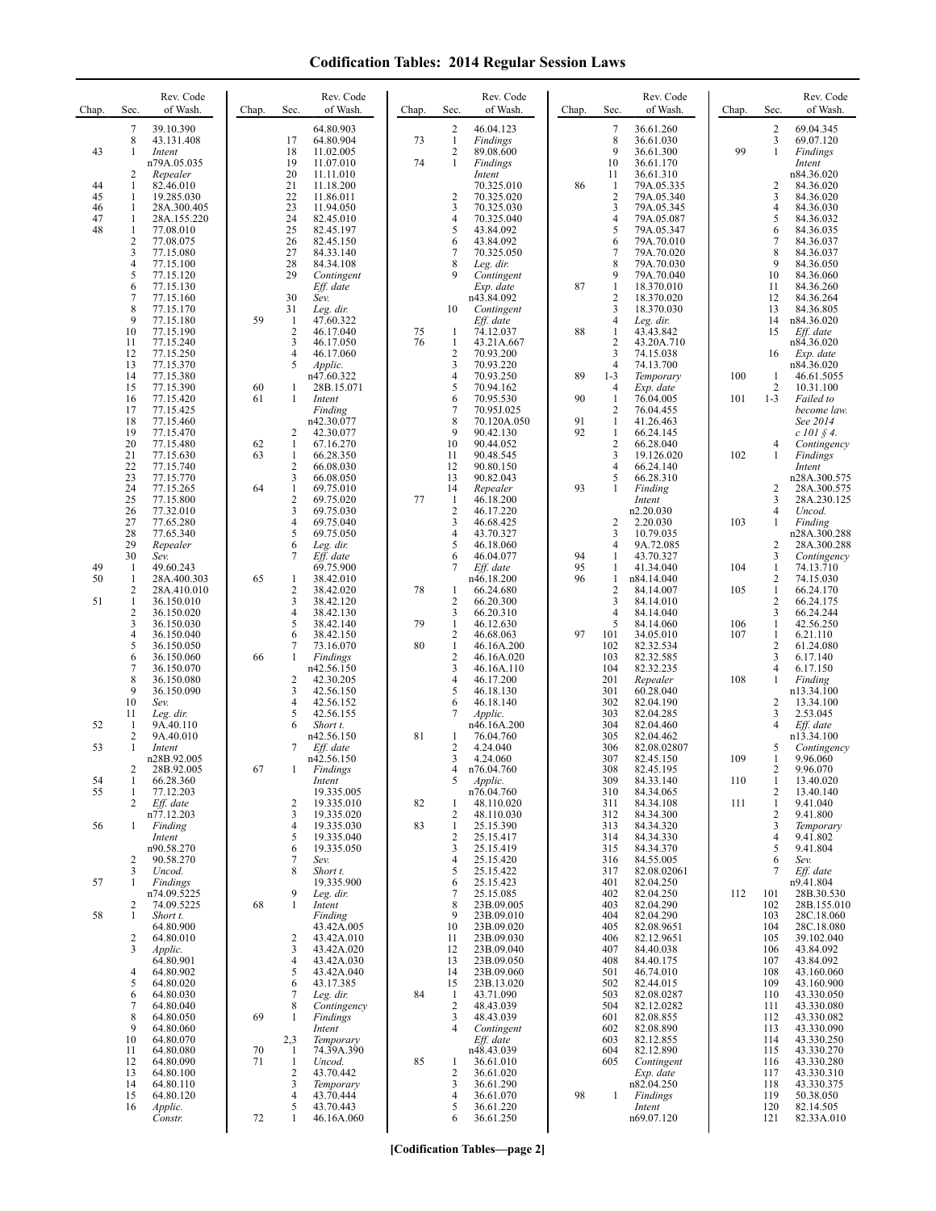## **Codification Tables: 2014 Regular Session Laws**

| Chap.    | Sec.                                | Rev. Code<br>of Wash.                            | Chap. | Sec.                                | Rev. Code<br>of Wash.                            | Chap.    | Sec.                                       | Rev. Code<br>of Wash.                          | Chap.    | Sec.                                           | Rev. Code<br>of Wash.                            | Chap.      | Sec.                                           | Rev. Code<br>of Wash.                        |
|----------|-------------------------------------|--------------------------------------------------|-------|-------------------------------------|--------------------------------------------------|----------|--------------------------------------------|------------------------------------------------|----------|------------------------------------------------|--------------------------------------------------|------------|------------------------------------------------|----------------------------------------------|
| 43       | 7<br>$\,$ 8 $\,$<br>1               | 39.10.390<br>43.131.408<br>Intent<br>n79A.05.035 |       | 17<br>18<br>19                      | 64.80.903<br>64.80.904<br>11.02.005<br>11.07.010 | 73<br>74 | 2<br>$\mathbf{1}$<br>$\overline{c}$<br>1   | 46.04.123<br>Findings<br>89.08.600<br>Findings |          | 7<br>$\,$ 8 $\,$<br>9<br>10                    | 36.61.260<br>36.61.030<br>36.61.300<br>36.61.170 | 99         | $\overline{c}$<br>3<br>$\mathbf{1}$            | 69.04.345<br>69.07.120<br>Findings<br>Intent |
| 44<br>45 | 2<br>1<br>1                         | Repealer<br>82.46.010<br>19.285.030              |       | 20<br>21<br>22                      | 11.11.010<br>11.18.200<br>11.86.011              |          | $\overline{2}$                             | Intent<br>70.325.010<br>70.325.020             | 86       | 11<br>-1<br>$\overline{2}$                     | 36.61.310<br>79A.05.335<br>79A.05.340            |            | 2<br>3                                         | n84.36.020<br>84.36.020<br>84.36.020         |
| 46<br>47 | 1<br>1                              | 28A.300.405<br>28A.155.220                       |       | 23<br>24                            | 11.94.050<br>82.45.010                           |          | 3<br>$\overline{4}$                        | 70.325.030<br>70.325.040                       |          | 3<br>$\overline{4}$                            | 79A.05.345<br>79A.05.087                         |            | 4<br>5                                         | 84.36.030<br>84.36.032                       |
| 48       | 1<br>$\overline{c}$<br>3            | 77.08.010<br>77.08.075<br>77.15.080              |       | 25<br>26<br>27                      | 82.45.197<br>82.45.150<br>84.33.140              |          | 5<br>6<br>7                                | 43.84.092<br>43.84.092<br>70.325.050           |          | 5<br>6<br>7                                    | 79A.05.347<br>79A.70.010<br>79A.70.020           |            | 6<br>7<br>8                                    | 84.36.035<br>84.36.037<br>84.36.037          |
|          | 4<br>5                              | 77.15.100<br>77.15.120                           |       | 28<br>29                            | 84.34.108<br>Contingent                          |          | 8<br>9                                     | Leg. dir.<br>Contingent                        |          | 8<br>9                                         | 79A.70.030<br>79A.70.040                         |            | 9<br>10                                        | 84.36.050<br>84.36.060                       |
|          | 6<br>$\overline{7}$<br>8            | 77.15.130<br>77.15.160<br>77.15.170              |       | 30<br>31                            | Eff. date<br>Sev.<br>Leg. dir.                   |          | 10                                         | Exp. date<br>n43.84.092<br>Contingent          | 87       | $\mathbf{1}$<br>$\overline{2}$<br>3            | 18.370.010<br>18.370.020<br>18.370.030           |            | 11<br>12<br>13                                 | 84.36.260<br>84.36.264<br>84.36.805          |
|          | 9<br>10                             | 77.15.180<br>77.15.190                           | 59    | -1<br>2                             | 47.60.322<br>46.17.040                           | 75       | 1                                          | Eff. date<br>74.12.037                         | 88       | $\overline{4}$<br>$\mathbf{1}$                 | Leg. dir.<br>43.43.842                           |            | 14<br>15                                       | n84.36.020<br>Eff. date                      |
|          | 11<br>12<br>13                      | 77.15.240<br>77.15.250<br>77.15.370              |       | 3<br>4<br>5                         | 46.17.050<br>46.17.060<br>Applic.                | 76       | $\mathbf{1}$<br>$\sqrt{2}$<br>3            | 43.21A.667<br>70.93.200<br>70.93.220           |          | $\overline{c}$<br>3<br>$\overline{4}$          | 43.20A.710<br>74.15.038<br>74.13.700             |            | 16                                             | n84.36.020<br>Exp. date<br>n84.36.020        |
|          | 14<br>15                            | 77.15.380<br>77.15.390                           | 60    | 1                                   | n47.60.322<br>28B.15.071                         |          | 4<br>5                                     | 70.93.250<br>70.94.162                         | 89       | $1 - 3$<br>$\overline{4}$                      | Temporary<br>Exp. date                           | 100        | 1<br>$\overline{c}$                            | 46.61.5055<br>10.31.100                      |
|          | 16<br>17<br>18                      | 77.15.420<br>77.15.425<br>77.15.460              | 61    | $\mathbf{1}$                        | Intent<br>Finding<br>n42.30.077                  |          | 6<br>7<br>8                                | 70.95.530<br>70.95J.025<br>70.120A.050         | 90<br>91 | $\mathbf{1}$<br>$\overline{2}$<br>$\mathbf{1}$ | 76.04.005<br>76.04.455<br>41.26.463              | 101        | $1 - 3$                                        | Failed to<br>become law.<br>See 2014         |
|          | 19<br>20                            | 77.15.470<br>77.15.480                           | 62    | 2<br>$\mathbf{1}$                   | 42.30.077<br>67.16.270                           |          | 9<br>10                                    | 90.42.130<br>90.44.052                         | 92       | $\mathbf{1}$<br>$\sqrt{2}$                     | 66.24.145<br>66.28.040                           |            | 4                                              | $c$ 101 $\AA$ 4.<br>Contingency              |
|          | 21<br>22<br>23                      | 77.15.630<br>77.15.740<br>77.15.770              | 63    | $\mathbf{1}$<br>$\mathfrak{2}$<br>3 | 66.28.350<br>66.08.030<br>66.08.050              |          | 11<br>12<br>13                             | 90.48.545<br>90.80.150<br>90.82.043            |          | 3<br>$\overline{4}$<br>5                       | 19.126.020<br>66.24.140<br>66.28.310             | 102        | 1                                              | Findings<br>Intent<br>n28A.300.575           |
|          | 24<br>25                            | 77.15.265<br>77.15.800                           | 64    | $\mathbf{1}$<br>$\mathfrak{2}$      | 69.75.010<br>69.75.020                           | 77       | 14<br>$\mathbf{1}$                         | Repealer<br>46.18.200                          | 93       | 1                                              | Finding<br>Intent                                |            | 2<br>3                                         | 28A.300.575<br>28A.230.125                   |
|          | 26<br>27<br>28                      | 77.32.010<br>77.65.280<br>77.65.340              |       | 3<br>4<br>5                         | 69.75.030<br>69.75.040<br>69.75.050              |          | $\sqrt{2}$<br>3<br>$\overline{4}$          | 46.17.220<br>46.68.425<br>43.70.327            |          | $\overline{2}$<br>3                            | n2.20.030<br>2.20.030<br>10.79.035               | 103        | 4<br>1                                         | Uncod.<br>Finding<br>n28A.300.288            |
|          | 29<br>30                            | Repealer<br>Sev.                                 |       | 6<br>7                              | Leg. dir.<br>Eff. date                           |          | 5<br>6                                     | 46.18.060<br>46.04.077                         | 94       | $\overline{4}$<br>1                            | 9A.72.085<br>43.70.327                           |            | 2<br>3                                         | 28A.300.288<br>Contingency                   |
| 49<br>50 | $\mathbf{1}$<br>1<br>$\overline{c}$ | 49.60.243<br>28A.400.303<br>28A.410.010          | 65    | 1<br>$\overline{c}$                 | 69.75.900<br>38.42.010<br>38.42.020              | 78       | 7<br>1                                     | Eff. date<br>n46.18.200<br>66.24.680           | 95<br>96 | 1<br>1<br>$\sqrt{2}$                           | 41.34.040<br>n84.14.040<br>84.14.007             | 104<br>105 | $\mathbf{1}$<br>$\overline{c}$<br>$\mathbf{1}$ | 74.13.710<br>74.15.030<br>66.24.170          |
| 51       | 1<br>$\overline{2}$                 | 36.150.010<br>36.150.020                         |       | 3<br>$\overline{4}$                 | 38.42.120<br>38.42.130                           | 79       | $\overline{2}$<br>3                        | 66.20.300<br>66.20.310                         |          | 3<br>$\overline{4}$                            | 84.14.010<br>84.14.040                           |            | $\overline{c}$<br>3                            | 66.24.175<br>66.24.244                       |
|          | 3<br>$\overline{4}$<br>5            | 36.150.030<br>36.150.040<br>36.150.050           |       | 5<br>6<br>7                         | 38.42.140<br>38.42.150<br>73.16.070              | 80       | $\mathbf{1}$<br>$\sqrt{2}$<br>$\mathbf{1}$ | 46.12.630<br>46.68.063<br>46.16A.200           | 97       | 5<br>101<br>102                                | 84.14.060<br>34.05.010<br>82.32.534              | 106<br>107 | $\mathbf{1}$<br>$\mathbf{1}$<br>2              | 42.56.250<br>6.21.110<br>61.24.080           |
|          | 6<br>$\overline{7}$<br>8            | 36.150.060<br>36.150.070                         | 66    | 1                                   | Findings<br>n42.56.150                           |          | $\overline{2}$<br>3                        | 46.16A.020<br>46.16A.110                       |          | 103<br>104                                     | 82.32.585<br>82.32.235                           | 108        | 3<br>4<br>1                                    | 6.17.140<br>6.17.150                         |
|          | 9<br>10                             | 36.150.080<br>36.150.090<br>Sev.                 |       | 2<br>3<br>4                         | 42.30.205<br>42.56.150<br>42.56.152              |          | 4<br>5<br>6                                | 46.17.200<br>46.18.130<br>46.18.140            |          | 201<br>301<br>302                              | Repealer<br>60.28.040<br>82.04.190               |            | 2                                              | Finding<br>n13.34.100<br>13.34.100           |
| 52       | 11<br>-1<br>2                       | Leg. dir.<br>9A.40.110<br>9A.40.010              |       | 5<br>6                              | 42.56.155<br>Short t.<br>n42.56.150              | 81       | 7<br>1                                     | Applic.<br>n46.16A.200<br>76.04.760            |          | 303<br>304<br>305                              | 82.04.285<br>82.04.460<br>82.04.462              |            | 3<br>4                                         | 2.53.045<br>Eff. date<br>n13.34.100          |
| 53       | 1                                   | Intent<br>n28B.92.005                            |       | 7                                   | Eff. date<br>n42.56.150                          |          | $\overline{2}$<br>3                        | 4.24.040<br>4.24.060                           |          | 306<br>307                                     | 82.08.02807<br>82.45.150                         | 109        | 5<br>1                                         | Contingency<br>9.96.060                      |
| 54<br>55 | 2<br>1<br>1                         | 28B.92.005<br>66.28.360<br>77.12.203             | 67    | 1                                   | Findings<br>Intent<br>19.335.005                 |          | 4<br>5                                     | n/6.04./60<br>Applic.<br>n76.04.760            |          | 308<br>309<br>310                              | 82.45.195<br>84.33.140<br>84.34.065              | 110        | 2<br>$\mathbf{1}$<br>2                         | 9.96.070<br>13.40.020<br>13.40.140           |
|          | 2                                   | Eff. date<br>n77.12.203                          |       | $\overline{c}$<br>3                 | 19.335.010<br>19.335.020                         | 82       | 1<br>$\overline{\mathbf{c}}$               | 48.110.020<br>48.110.030                       |          | 311<br>312                                     | 84.34.108<br>84.34.300                           | 111        | $\mathbf{1}$<br>2                              | 9.41.040<br>9.41.800                         |
| 56       | 1                                   | Finding<br>Intent<br>n90.58.270                  |       | 4<br>5<br>6                         | 19.335.030<br>19.335.040<br>19.335.050           | 83       | $\mathbf{1}$<br>$\sqrt{2}$<br>3            | 25.15.390<br>25.15.417<br>25.15.419            |          | 313<br>314<br>315                              | 84.34.320<br>84.34.330<br>84.34.370              |            | 3<br>4<br>5                                    | Temporary<br>9.41.802<br>9.41.804            |
|          | $\overline{c}$<br>3                 | 90.58.270<br>Uncod.                              |       | $\tau$<br>8                         | Sev.<br>Short t.                                 |          | 4<br>5                                     | 25.15.420<br>25.15.422                         |          | 316<br>317                                     | 84.55.005<br>82.08.02061                         |            | 6<br>7                                         | Sev.<br>Eff. date                            |
| 57       | 1<br>$\overline{c}$                 | <b>Findings</b><br>n74.09.5225<br>74.09.5225     | 68    | 9<br>$\mathbf{1}$                   | 19.335.900<br>Leg. dir.<br>Intent                |          | 6<br>7<br>8                                | 25.15.423<br>25.15.085<br>23B.09.005           |          | 401<br>402<br>403                              | 82.04.250<br>82.04.250<br>82.04.290              | 112        | 101<br>102                                     | n9.41.804<br>28B.30.530<br>28B.155.010       |
| 58       | 1                                   | Short t.<br>64.80.900                            |       |                                     | Finding<br>43.42A.005                            |          | 9<br>10                                    | 23B.09.010<br>23B.09.020                       |          | 404<br>405                                     | 82.04.290<br>82.08.9651                          |            | 103<br>104                                     | 28C.18.060<br>28C.18.080                     |
|          | 2<br>3                              | 64.80.010<br>Applic.<br>64.80.901                |       | 2<br>3<br>4                         | 43.42A.010<br>43.42A.020<br>43.42A.030           |          | 11<br>12<br>13                             | 23B.09.030<br>23B.09.040<br>23B.09.050         |          | 406<br>407<br>408                              | 82.12.9651<br>84.40.038<br>84.40.175             |            | 105<br>106<br>107                              | 39.102.040<br>43.84.092<br>43.84.092         |
|          | 4<br>5<br>6                         | 64.80.902<br>64.80.020<br>64.80.030              |       | 5<br>6<br>7                         | 43.42A.040<br>43.17.385<br>Leg. dir.             | 84       | 14<br>15<br>$\mathbf{1}$                   | 23B.09.060<br>23B.13.020<br>43.71.090          |          | 501<br>502<br>503                              | 46.74.010<br>82.44.015<br>82.08.0287             |            | 108<br>109<br>110                              | 43.160.060<br>43.160.900<br>43.330.050       |
|          | 7<br>8                              | 64.80.040<br>64.80.050                           | 69    | 8<br>1                              | Contingency<br>Findings                          |          | $\overline{2}$<br>3                        | 48.43.039<br>48.43.039                         |          | 504<br>601                                     | 82.12.0282<br>82.08.855                          |            | 111<br>112                                     | 43.330.080<br>43.330.082                     |
|          | 9<br>10<br>11                       | 64.80.060<br>64.80.070<br>64.80.080              | 70    | 2,3<br>-1                           | Intent<br>Temporary<br>74.39A.390                |          | 4                                          | Contingent<br>Eff. date<br>n48.43.039          |          | 602<br>603<br>604                              | 82.08.890<br>82.12.855<br>82.12.890              |            | 113<br>114<br>115                              | 43.330.090<br>43.330.250<br>43.330.270       |
|          | 12<br>13                            | 64.80.090<br>64.80.100                           | 71    | $\mathbf{1}$<br>$\overline{c}$      | Uncod.<br>43.70.442                              | 85       | 1<br>$\overline{2}$                        | 36.61.010<br>36.61.020                         |          | 605                                            | Contingent<br>Exp. date                          |            | 116<br>117                                     | 43.330.280<br>43.330.310                     |
|          | 14<br>15<br>16                      | 64.80.110<br>64.80.120<br>Applic.                |       | 3<br>4<br>5                         | Temporary<br>43.70.444<br>43.70.443              |          | 3<br>$\overline{4}$<br>5                   | 36.61.290<br>36.61.070<br>36.61.220            | 98       | $\mathbf{1}$                                   | n82.04.250<br>Findings<br>Intent                 |            | 118<br>119<br>120                              | 43.330.375<br>50.38.050<br>82.14.505         |
|          |                                     | Constr.                                          | 72    | 1                                   | 46.16A.060                                       |          | 6                                          | 36.61.250                                      |          |                                                | n69.07.120                                       |            | 121                                            | 82.33A.010                                   |

**[Codification Tables—page 2]**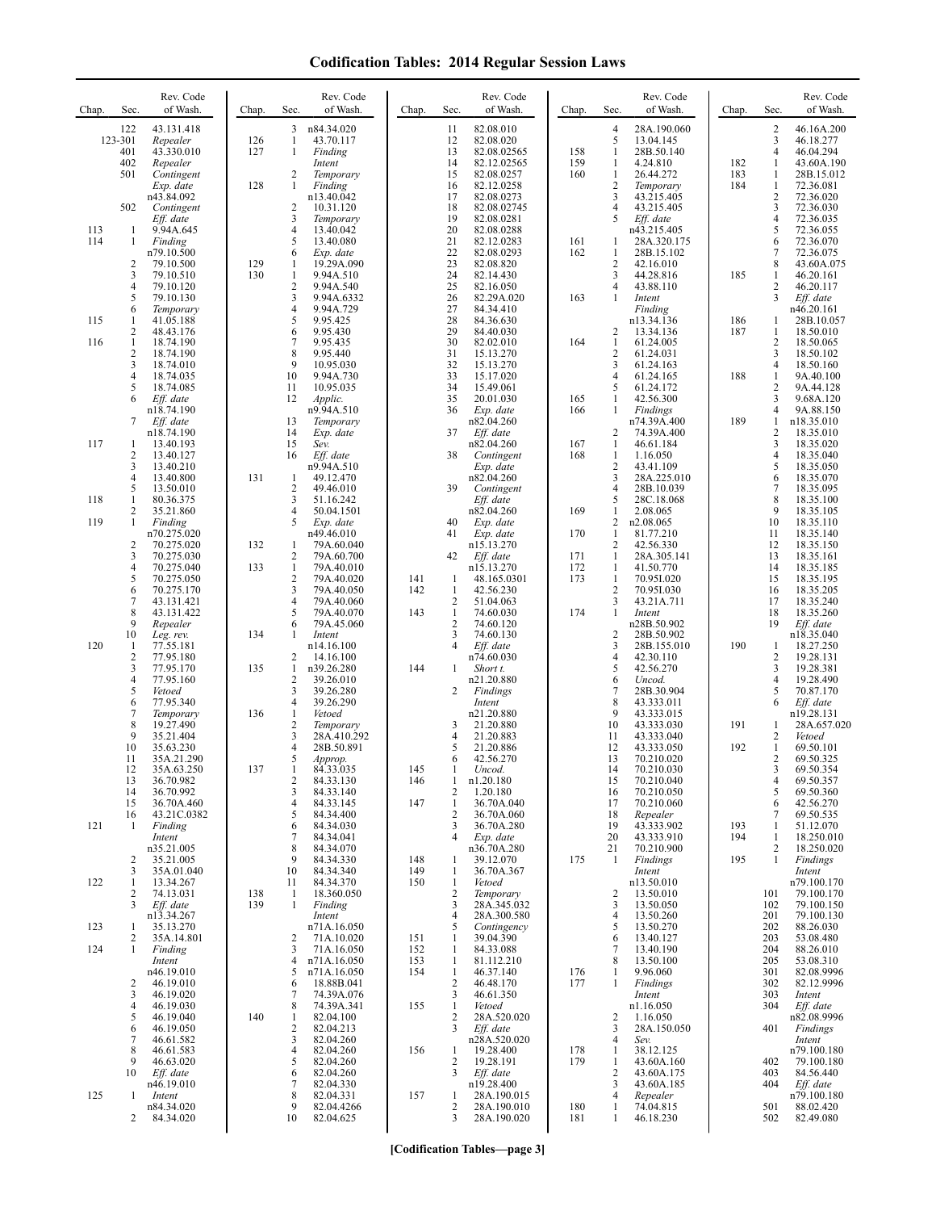## **Codification Tables: 2014 Regular Session Laws**

| Chap. | Sec.                    | Rev. Code<br>of Wash.     | Chap.      | Sec.                           | Rev. Code<br>of Wash.     | Chap.      | Sec.                           | Rev. Code<br>of Wash.      | Chap.      | Sec.                           | Rev. Code<br>of Wash.     | Chap.      | Sec.                         | Rev. Code<br>of Wash.     |
|-------|-------------------------|---------------------------|------------|--------------------------------|---------------------------|------------|--------------------------------|----------------------------|------------|--------------------------------|---------------------------|------------|------------------------------|---------------------------|
|       | 122                     | 43.131.418                |            | 3                              | n84.34.020                |            | 11                             | 82.08.010                  |            | $\overline{4}$                 | 28A.190.060               |            | 2                            | 46.16A.200                |
|       | 123-301<br>401          | Repealer<br>43.330.010    | 126<br>127 | $\mathbf{1}$<br>$\mathbf{1}$   | 43.70.117<br>Finding      |            | 12<br>13                       | 82.08.020<br>82.08.02565   | 158        | 5<br>$\mathbf{1}$              | 13.04.145<br>28B.50.140   |            | 3<br>4                       | 46.18.277<br>46.04.294    |
|       | 402                     | Repealer                  |            |                                | Intent                    |            | 14                             | 82.12.02565                | 159        | 1                              | 4.24.810                  | 182        | 1                            | 43.60A.190                |
|       | 501                     | Contingent<br>Exp. date   | 128        | 2<br>$\mathbf{1}$              | Temporary<br>Finding      |            | 15<br>16                       | 82.08.0257<br>82.12.0258   | 160        | $\mathbf{1}$<br>$\overline{2}$ | 26.44.272<br>Temporary    | 183<br>184 | 1<br>$\mathbf{1}$            | 28B.15.012<br>72.36.081   |
|       |                         | n43.84.092                |            |                                | n13.40.042                |            | 17                             | 82.08.0273                 |            | 3                              | 43.215.405                |            | 2                            | 72.36.020                 |
|       | 502                     | Contingent                |            | 2<br>3                         | 10.31.120                 |            | 18                             | 82.08.02745                |            | $\overline{4}$<br>5            | 43.215.405                |            | 3<br>4                       | 72.36.030                 |
| 113   | 1                       | Eff. date<br>9.94A.645    |            | 4                              | Temporary<br>13.40.042    |            | 19<br>20                       | 82.08.0281<br>82.08.0288   |            |                                | Eff. date<br>n43.215.405  |            | 5                            | 72.36.035<br>72.36.055    |
| 114   | 1                       | Finding                   |            | 5                              | 13.40.080                 |            | 21                             | 82.12.0283                 | 161        | 1                              | 28A.320.175               |            | 6                            | 72.36.070                 |
|       | $\overline{c}$          | n79.10.500<br>79.10.500   | 129        | 6<br>1                         | Exp. date<br>19.29A.090   |            | 22<br>23                       | 82.08.0293<br>82.08.820    | 162        | 1<br>$\overline{2}$            | 28B.15.102<br>42.16.010   |            | 7<br>8                       | 72.36.075<br>43.60A.075   |
|       | 3                       | 79.10.510                 | 130        | 1                              | 9.94A.510                 |            | 24                             | 82.14.430                  |            | 3                              | 44.28.816                 | 185        | $\mathbf{1}$                 | 46.20.161                 |
|       | 4<br>5                  | 79.10.120<br>79.10.130    |            | $\overline{2}$<br>3            | 9.94A.540<br>9.94A.6332   |            | 25<br>26                       | 82.16.050<br>82.29A.020    | 163        | $\overline{4}$<br>1            | 43.88.110<br>Intent       |            | 2<br>3                       | 46.20.117<br>Eff. date    |
|       | 6                       | Temporary                 |            | 4                              | 9.94A.729                 |            | 27                             | 84.34.410                  |            |                                | Finding                   |            |                              | n46.20.161                |
| 115   | 1<br>2                  | 41.05.188<br>48.43.176    |            | 5<br>6                         | 9.95.425<br>9.95.430      |            | 28<br>29                       | 84.36.630<br>84.40.030     |            | 2                              | n13.34.136<br>13.34.136   | 186<br>187 | 1<br>1                       | 28B.10.057<br>18.50.010   |
| 116   | $\mathbf{1}$            | 18.74.190                 |            | 7                              | 9.95.435                  |            | 30                             | 82.02.010                  | 164        | $\mathbf{1}$                   | 61.24.005                 |            | $\overline{c}$               | 18.50.065                 |
|       | $\overline{c}$<br>3     | 18.74.190<br>18.74.010    |            | 8<br>9                         | 9.95.440<br>10.95.030     |            | 31<br>32                       | 15.13.270<br>15.13.270     |            | $\overline{2}$<br>3            | 61.24.031<br>61.24.163    |            | 3<br>4                       | 18.50.102<br>18.50.160    |
|       | 4                       | 18.74.035                 |            | 10                             | 9.94A.730                 |            | 33                             | 15.17.020                  |            | $\overline{4}$                 | 61.24.165                 | 188        | $\mathbf{1}$                 | 9A.40.100                 |
|       | 5<br>6                  | 18.74.085                 |            | 11<br>12                       | 10.95.035                 |            | 34<br>35                       | 15.49.061                  |            | 5<br>$\mathbf{1}$              | 61.24.172                 |            | 2<br>3                       | 9A.44.128<br>9.68A.120    |
|       |                         | Eff. date<br>n18.74.190   |            |                                | Applic.<br>n9.94A.510     |            | 36                             | 20.01.030<br>Exp. date     | 165<br>166 | 1                              | 42.56.300<br>Findings     |            | 4                            | 9A.88.150                 |
|       | 7                       | Eff. date                 |            | 13                             | Temporary                 |            |                                | n82.04.260                 |            |                                | n74.39A.400               | 189        | 1                            | n18.35.010                |
| 117   | 1                       | n18.74.190<br>13.40.193   |            | 14<br>15                       | Exp. date<br>Sev.         |            | 37                             | Eff. date<br>n82.04.260    | 167        | 2<br>$\mathbf{1}$              | 74.39A.400<br>46.61.184   |            | 2<br>$\overline{\mathbf{3}}$ | 18.35.010<br>18.35.020    |
|       | 2                       | 13.40.127                 |            | 16                             | Eff. date                 |            | 38                             | Contingent                 | 168        | $\mathbf{1}$                   | 1.16.050                  |            | 4                            | 18.35.040                 |
|       | 3<br>4                  | 13.40.210<br>13.40.800    | 131        | 1                              | n9.94A.510<br>49.12.470   |            |                                | Exp. date<br>n82.04.260    |            | $\sqrt{2}$<br>3                | 43.41.109<br>28A.225.010  |            | 5<br>6                       | 18.35.050<br>18.35.070    |
|       | 5                       | 13.50.010                 |            | $\overline{2}$                 | 49.46.010                 |            | 39                             | Contingent                 |            | $\overline{4}$                 | 28B.10.039                |            | $\tau$                       | 18.35.095                 |
| 118   | 1<br>2                  | 80.36.375<br>35.21.860    |            | 3<br>$\overline{4}$            | 51.16.242<br>50.04.1501   |            |                                | Eff. date<br>n82.04.260    | 169        | 5<br>1                         | 28C.18.068<br>2.08.065    |            | 8<br>9                       | 18.35.100<br>18.35.105    |
| 119   | 1                       | Finding                   |            | 5                              | Exp. date                 |            | 40                             | Exp. date                  |            | $\overline{2}$                 | n2.08.065                 |            | 10                           | 18.35.110                 |
|       | $\overline{\mathbf{c}}$ | n70.275.020<br>70.275.020 | 132        | 1                              | n49.46.010<br>79A.60.040  |            | 41                             | Exp. date<br>n15.13.270    | 170        | 1<br>$\overline{2}$            | 81.77.210<br>42.56.330    |            | 11<br>12                     | 18.35.140<br>18.35.150    |
|       | 3                       | 70.275.030                |            | 2                              | 79A.60.700                |            | 42                             | Eff. date                  | 171        | 1                              | 28A.305.141               |            | 13                           | 18.35.161                 |
|       | 4<br>5                  | 70.275.040<br>70.275.050  | 133        | $\mathbf{1}$<br>$\overline{2}$ | 79A.40.010<br>79A.40.020  | 141        | -1                             | n15.13.270<br>48.165.0301  | 172<br>173 | 1<br>1                         | 41.50.770<br>70.95I.020   |            | 14<br>15                     | 18.35.185<br>18.35.195    |
|       | 6                       | 70.275.170                |            | 3                              | 79A.40.050                | 142        | $\mathbf{1}$                   | 42.56.230                  |            | $\overline{2}$                 | 70.951.030                |            | 16                           | 18.35.205                 |
|       | 7<br>8                  | 43.131.421<br>43.131.422  |            | $\overline{4}$<br>5            | 79A.40.060<br>79A.40.070  | 143        | 2<br>$\mathbf{1}$              | 51.04.063<br>74.60.030     | 174        | 3<br>1                         | 43.21A.711<br>Intent      |            | 17<br>18                     | 18.35.240<br>18.35.260    |
|       | 9                       | Repealer                  |            | 6                              | 79A.45.060                |            | $\overline{c}$                 | 74.60.120                  |            |                                | n28B.50.902               |            | 19                           | Eff. date                 |
| 120   | 10<br>-1                | Leg. rev.<br>77.55.181    | 134        | 1                              | Intent<br>n14.16.100      |            | 3<br>4                         | 74.60.130<br>Eff. date     |            | $\overline{2}$<br>3            | 28B.50.902<br>28B.155.010 | 190        | 1                            | n18.35.040<br>18.27.250   |
|       | $\overline{c}$          | 77.95.180                 |            | 2                              | 14.16.100                 |            |                                | n74.60.030                 |            | $\overline{4}$                 | 42.30.110                 |            | 2                            | 19.28.131                 |
|       | 3<br>4                  | 77.95.170<br>77.95.160    | 135        | 1<br>$\overline{2}$            | n39.26.280                | 144        | 1                              | Short t.                   |            | 5<br>6                         | 42.56.270                 |            | 3<br>4                       | 19.28.381                 |
|       | 5                       | Vetoed                    |            | 3                              | 39.26.010<br>39.26.280    |            | 2                              | n21.20.880<br>Findings     |            | $\overline{7}$                 | Uncod.<br>28B.30.904      |            | 5                            | 19.28.490<br>70.87.170    |
|       | 6<br>7                  | 77.95.340                 | 136        | 4<br>1                         | 39.26.290<br>Vetoed       |            |                                | Intent<br>n21.20.880       |            | 8<br>9                         | 43.333.011<br>43.333.015  |            | 6                            | Eff. date<br>n19.28.131   |
|       | 8                       | Temporary<br>19.27.490    |            | $\overline{c}$                 | Temporary                 |            | 3                              | 21.20.880                  |            | 10                             | 43.333.030                | 191        | 1                            | 28A.657.020               |
|       | 9                       | 35.21.404                 |            | 3                              | 28A.410.292               |            | 4                              | 21.20.883                  |            | 11                             | 43.333.040                |            | 2                            | Vetoed                    |
|       | 10<br>11                | 35.63.230<br>35A.21.290   |            | $\overline{4}$<br>5            | 28B.50.891<br>Approp.     |            | 5<br>6                         | 21.20.886<br>42.56.270     |            | 12<br>13                       | 43.333.050<br>70.210.020  | 192        | $\mathbf{1}$<br>2            | 69.50.101<br>69.50.325    |
|       | 12                      | 35A.63.250                | 137        | -1                             | 84.33.035                 | 145        | -1                             | Uncod.                     |            | 14                             | 70.210.030<br>70.210.040  |            | 3                            | 69.50.354                 |
|       | 13<br>14                | 36.70.982<br>36.70.992    |            | $\overline{c}$<br>3            | 84.33.130<br>84.33.140    | 146        | $\mathbf{1}$<br>2              | n1.20.180<br>1.20.180      |            | 15<br>16                       | 70.210.050                |            | 4<br>5                       | 69.50.357<br>69.50.360    |
|       | 15                      | 36.70A.460                |            | 4                              | 84.33.145                 | 147        | $\mathbf{1}$                   | 36.70A.040                 |            | 17                             | 70.210.060                |            | 6                            | 42.56.270                 |
| 121   | 16<br>-1                | 43.21C.0382<br>Finding    |            | 5<br>6                         | 84.34.400<br>84.34.030    |            | 2<br>3                         | 36.70A.060<br>36.70A.280   |            | 18<br>19                       | Repealer<br>43.333.902    | 193        | 7<br>1                       | 69.50.535<br>51.12.070    |
|       |                         | Intent                    |            | 7<br>8                         | 84.34.041                 |            | 4                              | Exp. date                  |            | 20                             | 43.333.910                | 194        | 1<br>2                       | 18.250.010                |
|       | $\overline{c}$          | n35.21.005<br>35.21.005   |            | 9                              | 84.34.070<br>84.34.330    | 148        | 1                              | n36.70A.280<br>39.12.070   | 175        | 21<br>$\mathbf{1}$             | 70.210.900<br>Findings    | 195        | 1                            | 18.250.020<br>Findings    |
|       | 3                       | 35A.01.040                |            | 10                             | 84.34.340                 | 149        | 1                              | 36.70A.367                 |            |                                | Intent                    |            |                              | Intent                    |
| 122   | 1<br>2                  | 13.34.267<br>74.13.031    | 138        | 11<br>$\mathbf{1}$             | 84.34.370<br>18.360.050   | 150        | $\mathbf{1}$<br>$\overline{2}$ | Vetoed<br>Temporary        |            | $\overline{c}$                 | n13.50.010<br>13.50.010   |            | 101                          | n79.100.170<br>79.100.170 |
|       | 3                       | Eff. date                 | 139        | $\mathbf{1}$                   | Finding                   |            | 3                              | 28A.345.032                |            | 3                              | 13.50.050                 |            | 102                          | 79.100.150                |
| 123   | 1                       | n13.34.267<br>35.13.270   |            |                                | Intent<br>n71A.16.050     |            | 4<br>5                         | 28A.300.580<br>Contingency |            | $\overline{4}$<br>5            | 13.50.260<br>13.50.270    |            | 201<br>202                   | 79.100.130<br>88.26.030   |
|       | 2                       | 35A.14.801                |            | 2                              | 71A.10.020                | 151        | 1                              | 39.04.390                  |            | 6                              | 13.40.127                 |            | 203                          | 53.08.480                 |
| 124   | 1                       | Finding<br>Intent         |            | 3<br>4                         | 71A.16.050<br>n71A.16.050 | 152<br>153 | 1<br>1                         | 84.33.088<br>81.112.210    |            | 7<br>8                         | 13.40.190<br>13.50.100    |            | 204<br>205                   | 88.26.010<br>53.08.310    |
|       |                         | n46.19.010                |            | 5                              | n71A.16.050               | 154        | $\mathbf{1}$                   | 46.37.140                  | 176        | 1                              | 9.96.060                  |            | 301                          | 82.08.9996                |
|       | 2<br>3                  | 46.19.010<br>46.19.020    |            | 6<br>7                         | 18.88B.041<br>74.39A.076  |            | 2<br>3                         | 46.48.170<br>46.61.350     | 177        | 1                              | Findings<br>Intent        |            | 302<br>303                   | 82.12.9996<br>Intent      |
|       | 4                       | 46.19.030                 |            | 8                              | 74.39A.341                | 155        | $\mathbf{1}$                   | Vetoed                     |            |                                | n1.16.050                 |            | 304                          | Eff. date                 |
|       | 5<br>6                  | 46.19.040<br>46.19.050    | 140        | 1<br>$\overline{2}$            | 82.04.100<br>82.04.213    |            | $\sqrt{2}$<br>3                | 28A.520.020<br>Eff. date   |            | $\overline{c}$<br>3            | 1.16.050<br>28A.150.050   |            | 401                          | n82.08.9996<br>Findings   |
|       | 7                       | 46.61.582                 |            | 3                              | 82.04.260                 |            |                                | n28A.520.020               |            | $\overline{4}$                 | Sev.                      |            |                              | Intent                    |
|       | 8<br>9                  | 46.61.583<br>46.63.020    |            | $\overline{4}$<br>5            | 82.04.260<br>82.04.260    | 156        | 1<br>2                         | 19.28.400<br>19.28.191     | 178<br>179 | 1<br>-1                        | 38.12.125<br>43.60A.160   |            | 402                          | n79.100.180<br>79.100.180 |
|       | 10                      | Eff. date                 |            | 6                              | 82.04.260                 |            | 3                              | Eff. date                  |            | $\overline{2}$                 | 43.60A.175                |            | 403                          | 84.56.440                 |
| 125   | 1                       | n46.19.010<br>Intent      |            | 7<br>8                         | 82.04.330<br>82.04.331    | 157        | $\mathbf{1}$                   | n19.28.400<br>28A.190.015  |            | 3<br>$\overline{4}$            | 43.60A.185<br>Repealer    |            | 404                          | Eff. date<br>n79.100.180  |
|       |                         | n84.34.020                |            | 9                              | 82.04.4266                |            | 2                              | 28A.190.010                | 180        | -1                             | 74.04.815                 |            | 501                          | 88.02.420                 |
|       | 2                       | 84.34.020                 |            | 10                             | 82.04.625                 |            | 3                              | 28A.190.020                | 181        | 1                              | 46.18.230                 |            | 502                          | 82.49.080                 |

**[Codification Tables—page 3]**